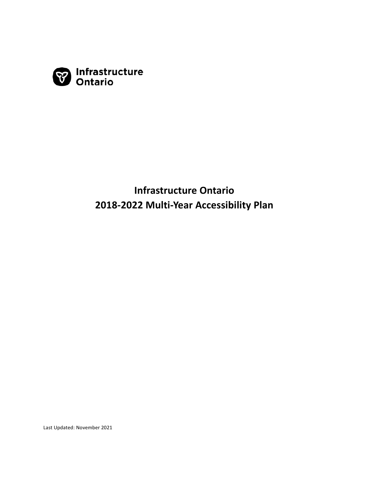

# **Infrastructure Ontario 2018-2022 Multi-Year Accessibility Plan**

Last Updated: November 2021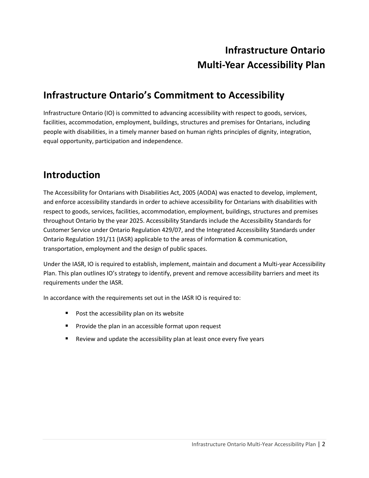# **Infrastructure Ontario Multi-Year Accessibility Plan**

## **Infrastructure Ontario's Commitment to Accessibility**

Infrastructure Ontario (IO) is committed to advancing accessibility with respect to goods, services, facilities, accommodation, employment, buildings, structures and premises for Ontarians, including people with disabilities, in a timely manner based on human rights principles of dignity, integration, equal opportunity, participation and independence.

## **Introduction**

The Accessibility for Ontarians with Disabilities Act, 2005 (AODA) was enacted to develop, implement, and enforce accessibility standards in order to achieve accessibility for Ontarians with disabilities with respect to goods, services, facilities, accommodation, employment, buildings, structures and premises throughout Ontario by the year 2025. Accessibility Standards include the Accessibility Standards for Customer Service under Ontario Regulation 429/07, and the Integrated Accessibility Standards under Ontario Regulation 191/11 (IASR) applicable to the areas of information & communication, transportation, employment and the design of public spaces.

Under the IASR, IO is required to establish, implement, maintain and document a Multi-year Accessibility Plan. This plan outlines IO's strategy to identify, prevent and remove accessibility barriers and meet its requirements under the IASR.

In accordance with the requirements set out in the IASR IO is required to:

- Post the accessibility plan on its website
- Provide the plan in an accessible format upon request
- Review and update the accessibility plan at least once every five years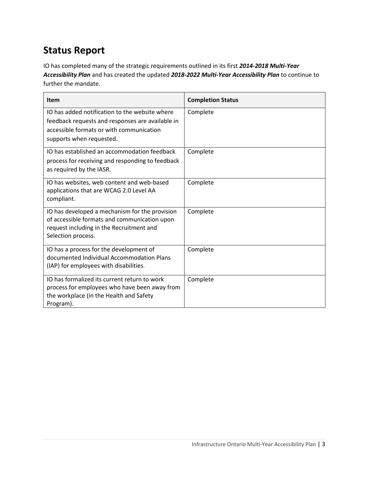# **Status Report**

IO has completed many of the strategic requirements outlined in its first *2014-2018 Multi-Year Accessibility Plan* and has created the updated *2018-2022 Multi-Year Accessibility Plan* to continue to further the mandate.

| <b>Item</b>                                                                                                                                                                | <b>Completion Status</b> |
|----------------------------------------------------------------------------------------------------------------------------------------------------------------------------|--------------------------|
| IO has added notification to the website where<br>feedback requests and responses are available in<br>accessible formats or with communication<br>supports when requested. | Complete                 |
| IO has established an accommodation feedback<br>process for receiving and responding to feedback<br>as required by the IASR.                                               | Complete                 |
| IO has websites, web content and web-based<br>applications that are WCAG 2.0 Level AA<br>compliant.                                                                        | Complete                 |
| IO has developed a mechanism for the provision<br>of accessible formats and communication upon<br>request including in the Recruitment and<br>Selection process.           | Complete                 |
| IO has a process for the development of<br>documented Individual Accommodation Plans<br>(IAP) for employees with disabilities.                                             | Complete                 |
| IO has formalized its current return to work<br>process for employees who have been away from<br>the workplace (in the Health and Safety<br>Program).                      | Complete                 |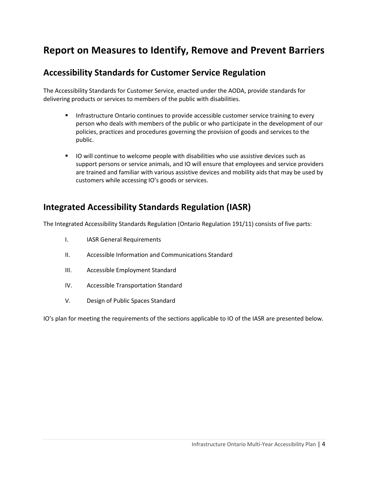## **Report on Measures to Identify, Remove and Prevent Barriers**

### **Accessibility Standards for Customer Service Regulation**

The Accessibility Standards for Customer Service, enacted under the AODA, provide standards for delivering products or services to members of the public with disabilities.

- **■** Infrastructure Ontario continues to provide accessible customer service training to every person who deals with members of the public or who participate in the development of our policies, practices and procedures governing the provision of goods and services to the public.
- IO will continue to welcome people with disabilities who use assistive devices such as support persons or service animals, and IO will ensure that employees and service providers are trained and familiar with various assistive devices and mobility aids that may be used by customers while accessing IO's goods or services.

### **Integrated Accessibility Standards Regulation (IASR)**

The Integrated Accessibility Standards Regulation [\(Ontario Regulation](http://www.e-laws.gov.on.ca/html/regs/english/elaws_regs_110191_e.htm) 191/11) consists of five parts:

- I. IASR General Requirements
- II. Accessible Information and Communications Standard
- III. Accessible Employment Standard
- IV. Accessible Transportation Standard
- V. Design of Public Spaces Standard

IO's plan for meeting the requirements of the sections applicable to IO of the IASR are presented below.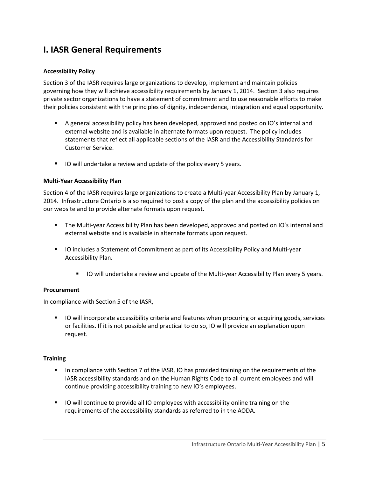## **I. IASR General Requirements**

#### **Accessibility Policy**

Section 3 of the IASR requires large organizations to develop, implement and maintain policies governing how they will achieve accessibility requirements by January 1, 2014. Section 3 also requires private sector organizations to have a statement of commitment and to use reasonable efforts to make their policies consistent with the principles of dignity, independence, integration and equal opportunity.

- A general accessibility policy has been developed, approved and posted on IO's internal and external website and is available in alternate formats upon request. The policy includes statements that reflect all applicable sections of the IASR and the Accessibility Standards for Customer Service.
- IO will undertake a review and update of the policy every 5 years.

#### **Multi-Year Accessibility Plan**

Section 4 of the IASR requires large organizations to create a Multi-year Accessibility Plan by January 1, 2014. Infrastructure Ontario is also required to post a copy of the plan and the accessibility policies on our website and to provide alternate formats upon request.

- The Multi-year Accessibility Plan has been developed, approved and posted on IO's internal and external website and is available in alternate formats upon request.
- IO includes a Statement of Commitment as part of its Accessibility Policy and Multi-year Accessibility Plan.
	- IO will undertake a review and update of the Multi-year Accessibility Plan every 5 years.

#### **Procurement**

In compliance with Section 5 of the IASR,

IO will incorporate accessibility criteria and features when procuring or acquiring goods, services or facilities. If it is not possible and practical to do so, IO will provide an explanation upon request.

#### **Training**

- In compliance with Section 7 of the IASR, IO has provided training on the requirements of the IASR accessibility standards and on the Human Rights Code to all current employees and will continue providing accessibility training to new IO's employees.
- IO will continue to provide all IO employees with accessibility online training on the requirements of the accessibility standards as referred to in the AODA.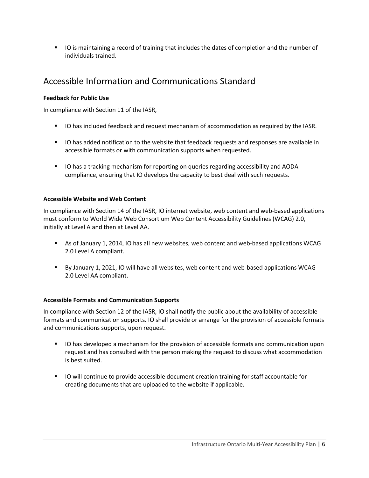■ IO is maintaining a record of training that includes the dates of completion and the number of individuals trained.

### Accessible Information and Communications Standard

#### **Feedback for Public Use**

In compliance with Section 11 of the IASR,

- **■** IO has included feedback and request mechanism of accommodation as required by the IASR.
- IO has added notification to the website that feedback requests and responses are available in accessible formats or with communication supports when requested.
- **■** IO has a tracking mechanism for reporting on queries regarding accessibility and AODA compliance, ensuring that IO develops the capacity to best deal with such requests.

#### **Accessible Website and Web Content**

In compliance with Section 14 of the IASR, IO internet website, web content and web-based applications must conform to World Wide Web Consortium Web Content Accessibility Guidelines (WCAG) 2.0, initially at Level A and then at Level AA.

- As of January 1, 2014, IO has all new websites, web content and web-based applications WCAG 2.0 Level A compliant.
- By January 1, 2021, IO will have all websites, web content and web-based applications WCAG 2.0 Level AA compliant.

#### **Accessible Formats and Communication Supports**

In compliance with Section 12 of the IASR, IO shall notify the public about the availability of accessible formats and communication supports. IO shall provide or arrange for the provision of accessible formats and communications supports, upon request.

- IO has developed a mechanism for the provision of accessible formats and communication upon request and has consulted with the person making the request to discuss what accommodation is best suited.
- IO will continue to provide accessible document creation training for staff accountable for creating documents that are uploaded to the website if applicable.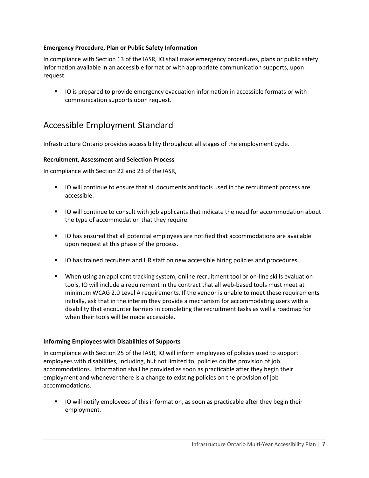#### **Emergency Procedure, Plan or Public Safety Information**

In compliance with Section 13 of the IASR, IO shall make emergency procedures, plans or public safety information available in an accessible format or with appropriate communication supports, upon request.

■ IO is prepared to provide emergency evacuation information in accessible formats or with communication supports upon request.

### Accessible Employment Standard

Infrastructure Ontario provides accessibility throughout all stages of the employment cycle.

#### **Recruitment, Assessment and Selection Process**

In compliance with Section 22 and 23 of the IASR,

- IO will continue to ensure that all documents and tools used in the recruitment process are accessible.
- IO will continue to consult with job applicants that indicate the need for accommodation about the type of accommodation that they require.
- IO has ensured that all potential employees are notified that accommodations are available upon request at this phase of the process.
- IO has trained recruiters and HR staff on new accessible hiring policies and procedures.
- When using an applicant tracking system, online recruitment tool or on-line skills evaluation tools, IO will include a requirement in the contract that all web-based tools must meet at minimum WCAG 2.0 Level A requirements. If the vendor is unable to meet these requirements initially, ask that in the interim they provide a mechanism for accommodating users with a disability that encounter barriers in completing the recruitment tasks as well a roadmap for when their tools will be made accessible.

#### **Informing Employees with Disabilities of Supports**

In compliance with Section 25 of the IASR, IO will inform employees of policies used to support employees with disabilities, including, but not limited to, policies on the provision of job accommodations. Information shall be provided as soon as practicable after they begin their employment and whenever there is a change to existing policies on the provision of job accommodations.

**■** IO will notify employees of this information, as soon as practicable after they begin their employment.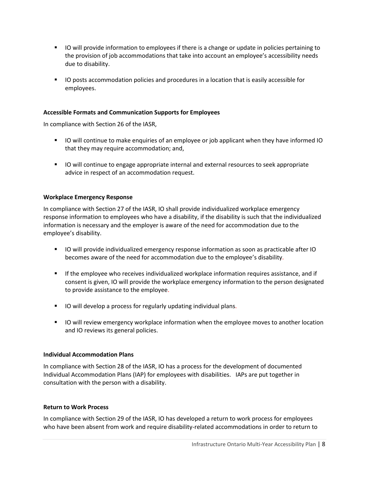- IO will provide information to employees if there is a change or update in policies pertaining to the provision of job accommodations that take into account an employee's accessibility needs due to disability.
- IO posts accommodation policies and procedures in a location that is easily accessible for employees.

#### **Accessible Formats and Communication Supports for Employees**

In compliance with Section 26 of the IASR,

- IO will continue to make enquiries of an employee or job applicant when they have informed IO that they may require accommodation; and,
- IO will continue to engage appropriate internal and external resources to seek appropriate advice in respect of an accommodation request.

#### **Workplace Emergency Response**

In compliance with Section 27 of the IASR, IO shall provide individualized workplace emergency response information to employees who have a disability, if the disability is such that the individualized information is necessary and the employer is aware of the need for accommodation due to the employee's disability.

- IO will provide individualized emergency response information as soon as practicable after IO becomes aware of the need for accommodation due to the employee's disability.
- **■** If the employee who receives individualized workplace information requires assistance, and if consent is given, IO will provide the workplace emergency information to the person designated to provide assistance to the employee.
- IO will develop a process for regularly updating individual plans.
- IO will review emergency workplace information when the employee moves to another location and IO reviews its general policies.

#### **Individual Accommodation Plans**

In compliance with Section 28 of the IASR, IO has a process for the development of documented Individual Accommodation Plans (IAP) for employees with disabilities. IAPs are put together in consultation with the person with a disability.

#### **Return to Work Process**

In compliance with Section 29 of the IASR, IO has developed a return to work process for employees who have been absent from work and require disability-related accommodations in order to return to